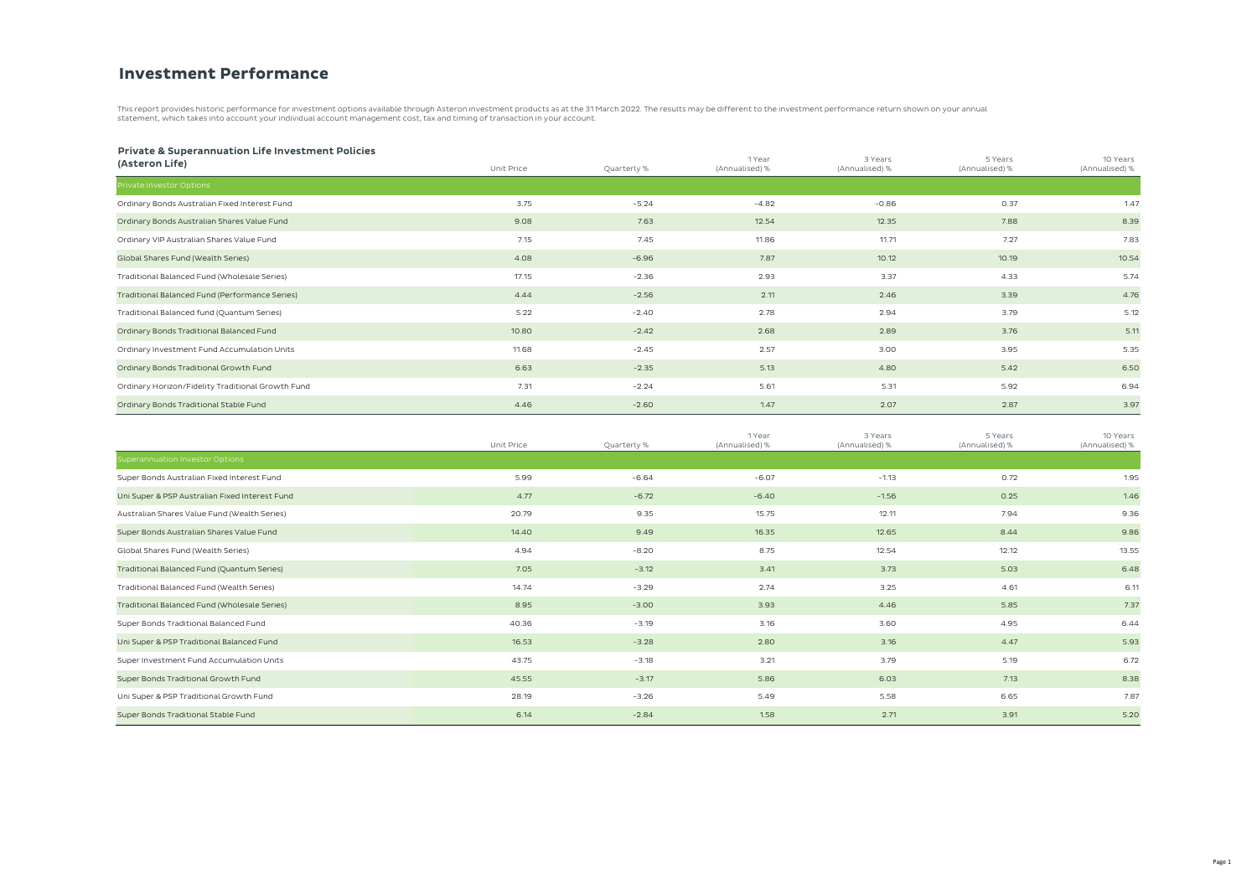## **Investment Performance**

This report provides historic performance for investment options available through Asteron investment products as at the 31 March 2022. The results may be different to the investment performance return shown on your annual

## Private & Superannuation Life Investment Policies

| (Asteron Life)                                    | Unit Price | Quarterly % | 1 Year<br>(Annualised) % | 3 Years<br>(Annualised) % | 5 Years<br>(Annualised) % | 10 Years<br>(Annualised) % |
|---------------------------------------------------|------------|-------------|--------------------------|---------------------------|---------------------------|----------------------------|
| Private Investor Options                          |            |             |                          |                           |                           |                            |
| Ordinary Bonds Australian Fixed Interest Fund     | 3.75       | $-5.24$     | $-4.82$                  | $-0.86$                   | 0.37                      | 1.47                       |
| Ordinary Bonds Australian Shares Value Fund       | 9.08       | 7.63        | 12.54                    | 12.35                     | 7.88                      | 8.39                       |
| Ordinary VIP Australian Shares Value Fund         | 7.15       | 7.45        | 11.86                    | 11.71                     | 7.27                      | 7.83                       |
| Global Shares Fund (Wealth Series)                | 4.08       | $-6.96$     | 7.87                     | 10.12                     | 10.19                     | 10.54                      |
| Traditional Balanced Fund (Wholesale Series)      | 17.15      | $-2.36$     | 2.93                     | 3.37                      | 4.33                      | 5.74                       |
| Traditional Balanced Fund (Performance Series)    | 4.44       | $-2.56$     | 2.11                     | 2.46                      | 3.39                      | 4.76                       |
| Traditional Balanced fund (Quantum Series)        | 5.22       | $-2.40$     | 2.78                     | 2.94                      | 3.79                      | 5.12                       |
| Ordinary Bonds Traditional Balanced Fund          | 10.80      | $-2.42$     | 2.68                     | 2.89                      | 3.76                      | 5.11                       |
| Ordinary Investment Fund Accumulation Units       | 11.68      | $-2.45$     | 2.57                     | 3.00                      | 3.95                      | 5.35                       |
| Ordinary Bonds Traditional Growth Fund            | 6.63       | $-2.35$     | 5.13                     | 4.80                      | 5.42                      | 6.50                       |
| Ordinary Horizon/Fidelity Traditional Growth Fund | 7.31       | $-2.24$     | 5.61                     | 5.31                      | 5.92                      | 6.94                       |
| Ordinary Bonds Traditional Stable Fund            | 4.46       | $-2.60$     | 1.47                     | 2.07                      | 2.87                      | 3.97                       |

|                                                | Unit Price | Quarterly % | 1Year<br>(Annualised) % | 3 Years<br>(Annualised) % | 5 Years<br>(Annualised) % | 10 Years<br>(Annualised) % |
|------------------------------------------------|------------|-------------|-------------------------|---------------------------|---------------------------|----------------------------|
| Superannuation Investor Options                |            |             |                         |                           |                           |                            |
| Super Bonds Australian Fixed Interest Fund     | 5.99       | $-6.64$     | $-6.07$                 | $-1.13$                   | 0.72                      | 1.95                       |
| Uni Super & PSP Australian Fixed Interest Fund | 4.77       | $-6.72$     | $-6.40$                 | $-1.56$                   | 0.25                      | 1.46                       |
| Australian Shares Value Fund (Wealth Series)   | 20.79      | 9.35        | 15.75                   | 12.11                     | 7.94                      | 9.36                       |
| Super Bonds Australian Shares Value Fund       | 14.40      | 9.49        | 16.35                   | 12.65                     | 8.44                      | 9.86                       |
| Global Shares Fund (Wealth Series)             | 4.94       | $-8.20$     | 8.75                    | 12.54                     | 12.12                     | 13.55                      |
| Traditional Balanced Fund (Quantum Series)     | 7.05       | $-3.12$     | 3.41                    | 3.73                      | 5.03                      | 6.48                       |
| Traditional Balanced Fund (Wealth Series)      | 14.74      | $-3.29$     | 2.74                    | 3.25                      | 4.61                      | 6.11                       |
| Traditional Balanced Fund (Wholesale Series)   | 8.95       | $-3.00$     | 3.93                    | 4.46                      | 5.85                      | 7.37                       |
| Super Bonds Traditional Balanced Fund          | 40.36      | $-3.19$     | 3.16                    | 3.60                      | 4.95                      | 6.44                       |
| Uni Super & PSP Traditional Balanced Fund      | 16.53      | $-3.28$     | 2.80                    | 3.16                      | 4.47                      | 5.93                       |
| Super Investment Fund Accumulation Units       | 43.75      | $-3.18$     | 3.21                    | 3.79                      | 5.19                      | 6.72                       |
| Super Bonds Traditional Growth Fund            | 45.55      | $-3.17$     | 5.86                    | 6.03                      | 7.13                      | 8.38                       |
| Uni Super & PSP Traditional Growth Fund        | 28.19      | $-3.26$     | 5.49                    | 5.58                      | 6.65                      | 7.87                       |
| Super Bonds Traditional Stable Fund            | 6.14       | $-2.84$     | 1.58                    | 2.71                      | 3.91                      | 5.20                       |